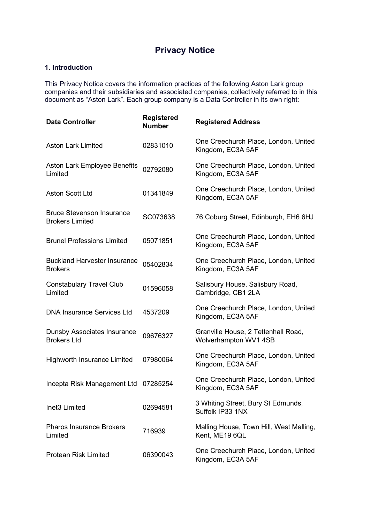# **Privacy Notice**

# **1. Introduction**

This Privacy Notice covers the information practices of the following Aston Lark group companies and their subsidiaries and associated companies, collectively referred to in this document as "Aston Lark". Each group company is a Data Controller in its own right:

| <b>Data Controller</b>                                     | <b>Registered</b><br><b>Number</b> | <b>Registered Address</b>                                    |
|------------------------------------------------------------|------------------------------------|--------------------------------------------------------------|
| <b>Aston Lark Limited</b>                                  | 02831010                           | One Creechurch Place, London, United<br>Kingdom, EC3A 5AF    |
| Aston Lark Employee Benefits<br>Limited                    | 02792080                           | One Creechurch Place, London, United<br>Kingdom, EC3A 5AF    |
| <b>Aston Scott Ltd</b>                                     | 01341849                           | One Creechurch Place, London, United<br>Kingdom, EC3A 5AF    |
| <b>Bruce Stevenson Insurance</b><br><b>Brokers Limited</b> | SC073638                           | 76 Coburg Street, Edinburgh, EH6 6HJ                         |
| <b>Brunel Professions Limited</b>                          | 05071851                           | One Creechurch Place, London, United<br>Kingdom, EC3A 5AF    |
| <b>Buckland Harvester Insurance</b><br><b>Brokers</b>      | 05402834                           | One Creechurch Place, London, United<br>Kingdom, EC3A 5AF    |
| <b>Constabulary Travel Club</b><br>Limited                 | 01596058                           | Salisbury House, Salisbury Road,<br>Cambridge, CB1 2LA       |
| <b>DNA Insurance Services Ltd</b>                          | 4537209                            | One Creechurch Place, London, United<br>Kingdom, EC3A 5AF    |
| <b>Dunsby Associates Insurance</b><br><b>Brokers Ltd</b>   | 09676327                           | Granville House, 2 Tettenhall Road,<br>Wolverhampton WV1 4SB |
| <b>Highworth Insurance Limited</b>                         | 07980064                           | One Creechurch Place, London, United<br>Kingdom, EC3A 5AF    |
| Incepta Risk Management Ltd                                | 07285254                           | One Creechurch Place, London, United<br>Kingdom, EC3A 5AF    |
| Inet <sub>3</sub> Limited                                  | 02694581                           | 3 Whiting Street, Bury St Edmunds,<br>Suffolk IP33 1NX       |
| <b>Pharos Insurance Brokers</b><br>Limited                 | 716939                             | Malling House, Town Hill, West Malling,<br>Kent, ME19 6QL    |
| <b>Protean Risk Limited</b>                                | 06390043                           | One Creechurch Place, London, United<br>Kingdom, EC3A 5AF    |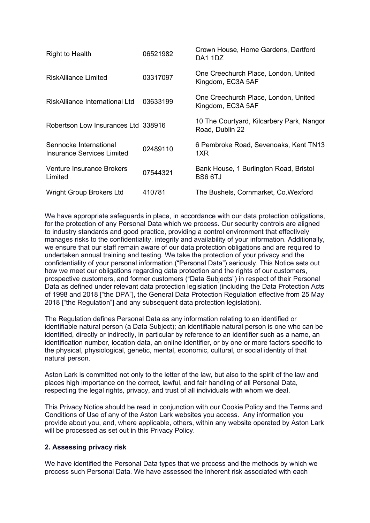| <b>Right to Health</b>                                      | 06521982 | Crown House, Home Gardens, Dartford<br>DA1 1DZ               |
|-------------------------------------------------------------|----------|--------------------------------------------------------------|
| RiskAlliance Limited                                        | 03317097 | One Creechurch Place, London, United<br>Kingdom, EC3A 5AF    |
| RiskAlliance International Ltd                              | 03633199 | One Creechurch Place, London, United<br>Kingdom, EC3A 5AF    |
| Robertson Low Insurances Ltd 338916                         |          | 10 The Courtyard, Kilcarbery Park, Nangor<br>Road, Dublin 22 |
| Sennocke International<br><b>Insurance Services Limited</b> | 02489110 | 6 Pembroke Road, Sevenoaks, Kent TN13<br>1XR                 |
| <b>Venture Insurance Brokers</b><br>Limited                 | 07544321 | Bank House, 1 Burlington Road, Bristol<br><b>BS6 6TJ</b>     |
| <b>Wright Group Brokers Ltd</b>                             | 410781   | The Bushels, Cornmarket, Co. Wexford                         |

We have appropriate safeguards in place, in accordance with our data protection obligations, for the protection of any Personal Data which we process. Our security controls are aligned to industry standards and good practice, providing a control environment that effectively manages risks to the confidentiality, integrity and availability of your information. Additionally, we ensure that our staff remain aware of our data protection obligations and are required to undertaken annual training and testing. We take the protection of your privacy and the confidentiality of your personal information ("Personal Data") seriously. This Notice sets out how we meet our obligations regarding data protection and the rights of our customers, prospective customers, and former customers ("Data Subjects") in respect of their Personal Data as defined under relevant data protection legislation (including the Data Protection Acts of 1998 and 2018 ["the DPA"], the General Data Protection Regulation effective from 25 May 2018 ["the Regulation"] and any subsequent data protection legislation).

The Regulation defines Personal Data as any information relating to an identified or identifiable natural person (a Data Subject); an identifiable natural person is one who can be identified, directly or indirectly, in particular by reference to an identifier such as a name, an identification number, location data, an online identifier, or by one or more factors specific to the physical, physiological, genetic, mental, economic, cultural, or social identity of that natural person.

Aston Lark is committed not only to the letter of the law, but also to the spirit of the law and places high importance on the correct, lawful, and fair handling of all Personal Data, respecting the legal rights, privacy, and trust of all individuals with whom we deal.

This Privacy Notice should be read in conjunction with our Cookie Policy and the Terms and Conditions of Use of any of the Aston Lark websites you access. Any information you provide about you, and, where applicable, others, within any website operated by Aston Lark will be processed as set out in this Privacy Policy.

## **2. Assessing privacy risk**

We have identified the Personal Data types that we process and the methods by which we process such Personal Data. We have assessed the inherent risk associated with each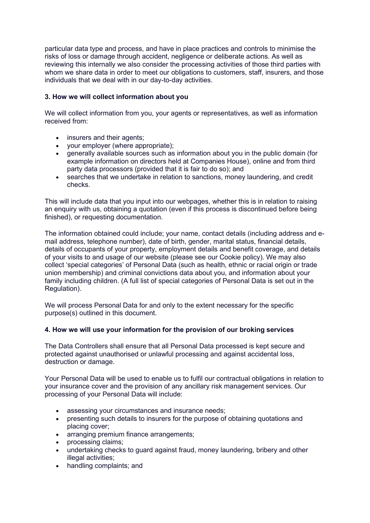particular data type and process, and have in place practices and controls to minimise the risks of loss or damage through accident, negligence or deliberate actions. As well as reviewing this internally we also consider the processing activities of those third parties with whom we share data in order to meet our obligations to customers, staff, insurers, and those individuals that we deal with in our day-to-day activities.

## **3. How we will collect information about you**

We will collect information from you, your agents or representatives, as well as information received from:

- insurers and their agents;
- your employer (where appropriate);
- generally available sources such as information about you in the public domain (for example information on directors held at Companies House), online and from third party data processors (provided that it is fair to do so); and
- searches that we undertake in relation to sanctions, money laundering, and credit checks.

This will include data that you input into our webpages, whether this is in relation to raising an enquiry with us, obtaining a quotation (even if this process is discontinued before being finished), or requesting documentation.

The information obtained could include; your name, contact details (including address and email address, telephone number), date of birth, gender, marital status, financial details, details of occupants of your property, employment details and benefit coverage, and details of your visits to and usage of our website (please see our Cookie policy). We may also collect 'special categories' of Personal Data (such as health, ethnic or racial origin or trade union membership) and criminal convictions data about you, and information about your family including children. (A full list of special categories of Personal Data is set out in the Regulation).

We will process Personal Data for and only to the extent necessary for the specific purpose(s) outlined in this document.

## **4. How we will use your information for the provision of our broking services**

The Data Controllers shall ensure that all Personal Data processed is kept secure and protected against unauthorised or unlawful processing and against accidental loss, destruction or damage.

Your Personal Data will be used to enable us to fulfil our contractual obligations in relation to your insurance cover and the provision of any ancillary risk management services. Our processing of your Personal Data will include:

- assessing your circumstances and insurance needs;
- presenting such details to insurers for the purpose of obtaining quotations and placing cover;
- arranging premium finance arrangements:
- processing claims;
- undertaking checks to guard against fraud, money laundering, bribery and other illegal activities;
- handling complaints; and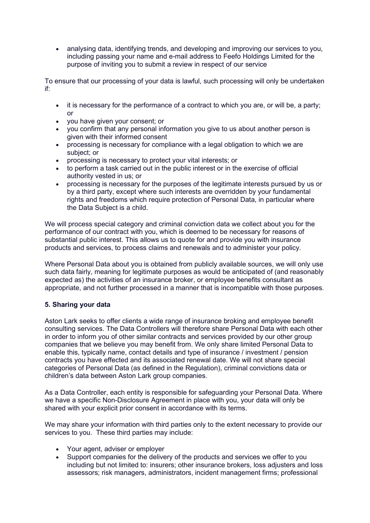• analysing data, identifying trends, and developing and improving our services to you, including passing your name and e-mail address to Feefo Holdings Limited for the purpose of inviting you to submit a review in respect of our service

To ensure that our processing of your data is lawful, such processing will only be undertaken if:

- it is necessary for the performance of a contract to which you are, or will be, a party;  $\alpha$ r
- you have given your consent; or
- you confirm that any personal information you give to us about another person is given with their informed consent
- processing is necessary for compliance with a legal obligation to which we are subject; or
- processing is necessary to protect your vital interests; or
- to perform a task carried out in the public interest or in the exercise of official authority vested in us; or
- processing is necessary for the purposes of the legitimate interests pursued by us or by a third party, except where such interests are overridden by your fundamental rights and freedoms which require protection of Personal Data, in particular where the Data Subject is a child.

We will process special category and criminal conviction data we collect about you for the performance of our contract with you, which is deemed to be necessary for reasons of substantial public interest. This allows us to quote for and provide you with insurance products and services, to process claims and renewals and to administer your policy.

Where Personal Data about you is obtained from publicly available sources, we will only use such data fairly, meaning for legitimate purposes as would be anticipated of (and reasonably expected as) the activities of an insurance broker, or employee benefits consultant as appropriate, and not further processed in a manner that is incompatible with those purposes.

# **5. Sharing your data**

Aston Lark seeks to offer clients a wide range of insurance broking and employee benefit consulting services. The Data Controllers will therefore share Personal Data with each other in order to inform you of other similar contracts and services provided by our other group companies that we believe you may benefit from. We only share limited Personal Data to enable this, typically name, contact details and type of insurance / investment / pension contracts you have effected and its associated renewal date. We will not share special categories of Personal Data (as defined in the Regulation), criminal convictions data or children's data between Aston Lark group companies.

As a Data Controller, each entity is responsible for safeguarding your Personal Data. Where we have a specific Non-Disclosure Agreement in place with you, your data will only be shared with your explicit prior consent in accordance with its terms.

We may share your information with third parties only to the extent necessary to provide our services to you. These third parties may include:

- Your agent, adviser or employer
- Support companies for the delivery of the products and services we offer to you including but not limited to: insurers; other insurance brokers, loss adjusters and loss assessors; risk managers, administrators, incident management firms; professional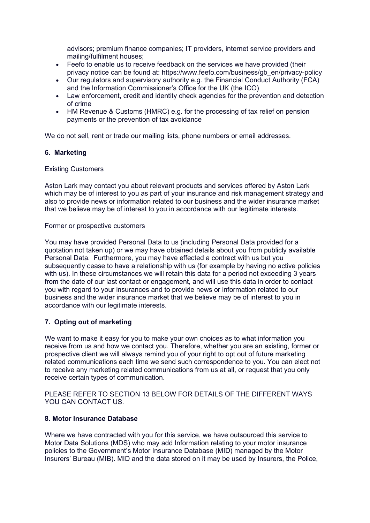advisors; premium finance companies; IT providers, internet service providers and mailing/fulfilment houses;

- Feefo to enable us to receive feedback on the services we have provided (their privacy notice can be found at: https://www.feefo.com/business/gb\_en/privacy-policy
- Our regulators and supervisory authority e.g. the Financial Conduct Authority (FCA) and the Information Commissioner's Office for the UK (the ICO)
- Law enforcement, credit and identity check agencies for the prevention and detection of crime
- HM Revenue & Customs (HMRC) e.g. for the processing of tax relief on pension payments or the prevention of tax avoidance

We do not sell, rent or trade our mailing lists, phone numbers or email addresses.

## **6. Marketing**

## Existing Customers

Aston Lark may contact you about relevant products and services offered by Aston Lark which may be of interest to you as part of your insurance and risk management strategy and also to provide news or information related to our business and the wider insurance market that we believe may be of interest to you in accordance with our legitimate interests.

#### Former or prospective customers

You may have provided Personal Data to us (including Personal Data provided for a quotation not taken up) or we may have obtained details about you from publicly available Personal Data. Furthermore, you may have effected a contract with us but you subsequently cease to have a relationship with us (for example by having no active policies with us). In these circumstances we will retain this data for a period not exceeding 3 years from the date of our last contact or engagement, and will use this data in order to contact you with regard to your insurances and to provide news or information related to our business and the wider insurance market that we believe may be of interest to you in accordance with our legitimate interests.

## **7. Opting out of marketing**

We want to make it easy for you to make your own choices as to what information you receive from us and how we contact you. Therefore, whether you are an existing, former or prospective client we will always remind you of your right to opt out of future marketing related communications each time we send such correspondence to you. You can elect not to receive any marketing related communications from us at all, or request that you only receive certain types of communication.

PLEASE REFER TO SECTION 13 BELOW FOR DETAILS OF THE DIFFERENT WAYS YOU CAN CONTACT US.

#### **8. Motor Insurance Database**

Where we have contracted with you for this service, we have outsourced this service to Motor Data Solutions (MDS) who may add Information relating to your motor insurance policies to the Government's Motor Insurance Database (MID) managed by the Motor Insurers' Bureau (MIB). MID and the data stored on it may be used by Insurers, the Police,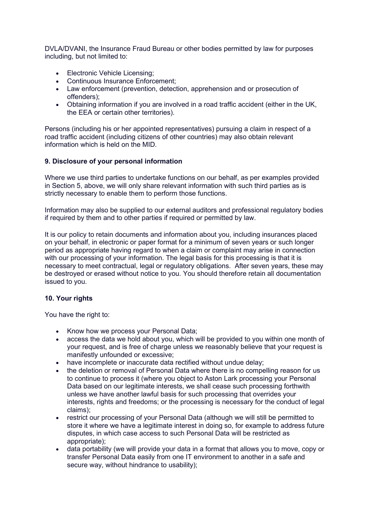DVLA/DVANI, the Insurance Fraud Bureau or other bodies permitted by law for purposes including, but not limited to:

- Electronic Vehicle Licensing;
- Continuous Insurance Enforcement;
- Law enforcement (prevention, detection, apprehension and or prosecution of offenders);
- Obtaining information if you are involved in a road traffic accident (either in the UK, the EEA or certain other territories).

Persons (including his or her appointed representatives) pursuing a claim in respect of a road traffic accident (including citizens of other countries) may also obtain relevant information which is held on the MID.

## **9. Disclosure of your personal information**

Where we use third parties to undertake functions on our behalf, as per examples provided in Section 5, above, we will only share relevant information with such third parties as is strictly necessary to enable them to perform those functions.

Information may also be supplied to our external auditors and professional regulatory bodies if required by them and to other parties if required or permitted by law.

It is our policy to retain documents and information about you, including insurances placed on your behalf, in electronic or paper format for a minimum of seven years or such longer period as appropriate having regard to when a claim or complaint may arise in connection with our processing of your information. The legal basis for this processing is that it is necessary to meet contractual, legal or regulatory obligations. After seven years, these may be destroyed or erased without notice to you. You should therefore retain all documentation issued to you.

## **10. Your rights**

You have the right to:

- Know how we process your Personal Data;<br>• access the data we hold about you, which w
- access the data we hold about you, which will be provided to you within one month of your request, and is free of charge unless we reasonably believe that your request is manifestly unfounded or excessive;
- have incomplete or inaccurate data rectified without undue delay;
- the deletion or removal of Personal Data where there is no compelling reason for us to continue to process it (where you object to Aston Lark processing your Personal Data based on our legitimate interests, we shall cease such processing forthwith unless we have another lawful basis for such processing that overrides your interests, rights and freedoms; or the processing is necessary for the conduct of legal claims);
- restrict our processing of your Personal Data (although we will still be permitted to store it where we have a legitimate interest in doing so, for example to address future disputes, in which case access to such Personal Data will be restricted as appropriate);
- data portability (we will provide your data in a format that allows you to move, copy or transfer Personal Data easily from one IT environment to another in a safe and secure way, without hindrance to usability);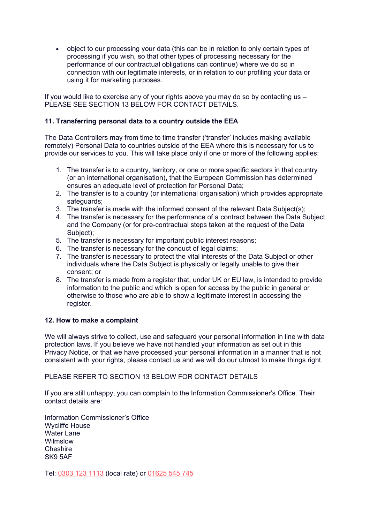• object to our processing your data (this can be in relation to only certain types of processing if you wish, so that other types of processing necessary for the performance of our contractual obligations can continue) where we do so in connection with our legitimate interests, or in relation to our profiling your data or using it for marketing purposes.

If you would like to exercise any of your rights above you may do so by contacting us – PLEASE SEE SECTION 13 BELOW FOR CONTACT DETAILS.

## **11. Transferring personal data to a country outside the EEA**

The Data Controllers may from time to time transfer ('transfer' includes making available remotely) Personal Data to countries outside of the EEA where this is necessary for us to provide our services to you. This will take place only if one or more of the following applies:

- 1. The transfer is to a country, territory, or one or more specific sectors in that country (or an international organisation), that the European Commission has determined ensures an adequate level of protection for Personal Data;
- 2. The transfer is to a country (or international organisation) which provides appropriate safeguards;
- 3. The transfer is made with the informed consent of the relevant Data Subject(s);
- 4. The transfer is necessary for the performance of a contract between the Data Subject and the Company (or for pre-contractual steps taken at the request of the Data Subject);
- 5. The transfer is necessary for important public interest reasons;
- 6. The transfer is necessary for the conduct of legal claims;
- 7. The transfer is necessary to protect the vital interests of the Data Subject or other individuals where the Data Subject is physically or legally unable to give their consent; or
- 8. The transfer is made from a register that, under UK or EU law, is intended to provide information to the public and which is open for access by the public in general or otherwise to those who are able to show a legitimate interest in accessing the register.

## **12. How to make a complaint**

We will always strive to collect, use and safeguard your personal information in line with data protection laws. If you believe we have not handled your information as set out in this Privacy Notice, or that we have processed your personal information in a manner that is not consistent with your rights, please contact us and we will do our utmost to make things right.

PLEASE REFER TO SECTION 13 BELOW FOR CONTACT DETAILS

If you are still unhappy, you can complain to the Information Commissioner's Office. Their contact details are:

Information Commissioner's Office Wycliffe House Water Lane Wilmslow Cheshire SK9 5AF

Tel: [0303 123 1113](tel:03031231113) (local rate) or [01625 545 745](tel:01625545745)